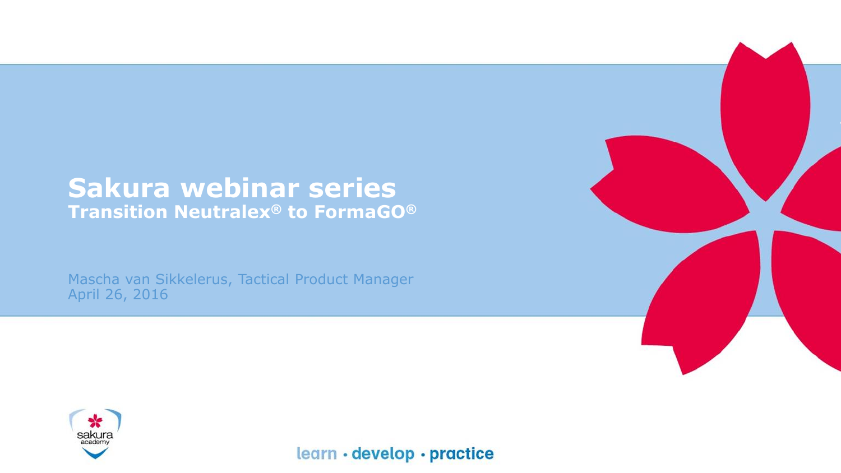#### **Sakura webinar series Transition Neutralex® to FormaGO®**

Mascha van Sikkelerus, Tactical Product Manager April 26, 2016



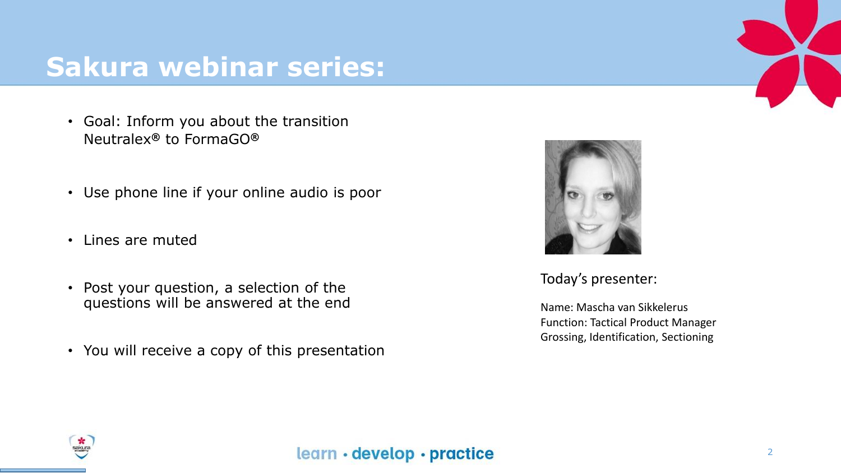### **Sakura webinar series:**

- Goal: Inform you about the transition Neutralex**®** to FormaGO**®**
- Use phone line if your online audio is poor
- Lines are muted
- Post your question, a selection of the questions will be answered at the end
- You will receive a copy of this presentation



Today's presenter:

Name: Mascha van Sikkelerus Function: Tactical Product Manager Grossing, Identification, Sectioning

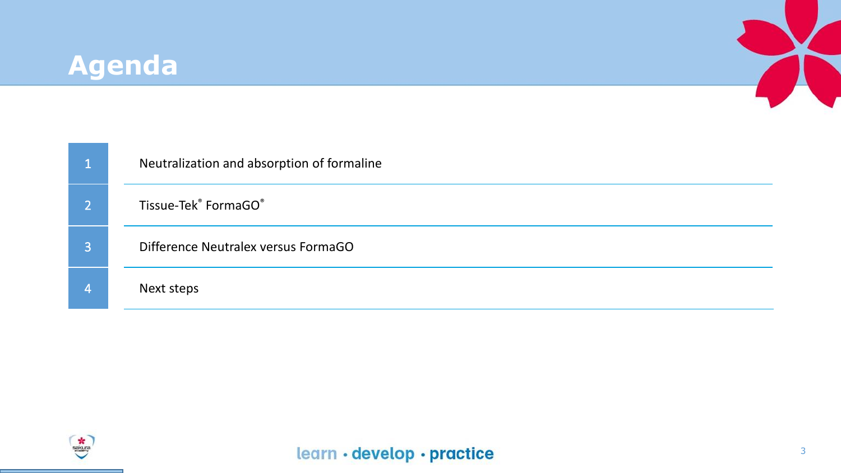#### **Agenda**



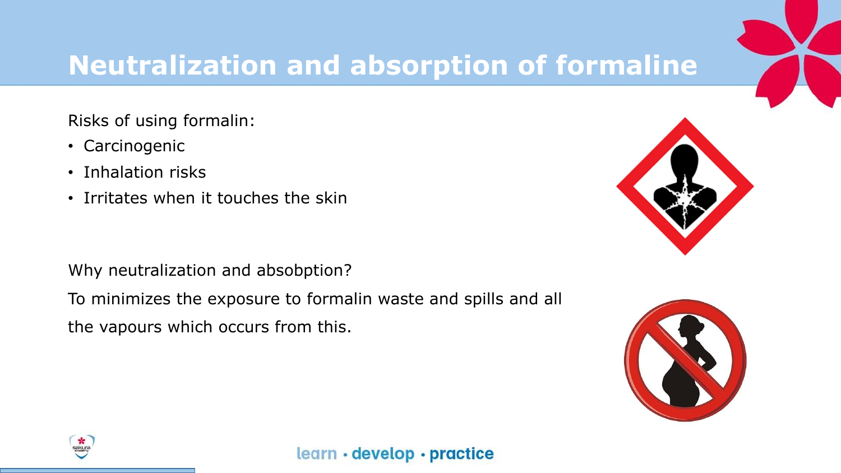# **Neutralization and absorption of formaline**

Risks of using formalin:

- Carcinogenic
- Inhalation risks
- Irritates when it touches the skin

Why neutralization and absobption?

To minimizes the exposure to formalin waste and spills and all

the vapours which occurs from this.



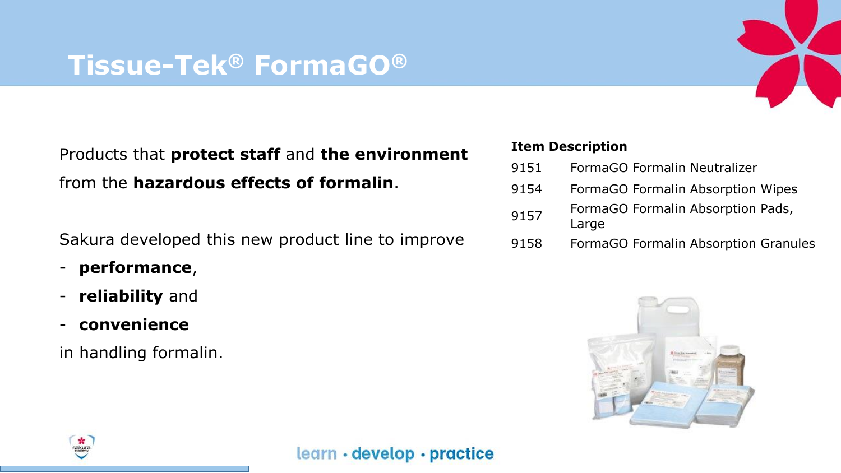#### **Tissue-Tek® FormaGO®**

Products that **protect staff** and **the environment**  from the **hazardous effects of formalin**.

Sakura developed this new product line to improve

- **performance**,
- **reliability** and
- **convenience**

in handling formalin.

#### **Item Description**

- 9151 FormaGO Formalin Neutralizer
- 9154 FormaGO Formalin Absorption Wipes
- 9157 FormaGO Formalin Absorption Pads, Large
- 9158 FormaGO Formalin Absorption Granules



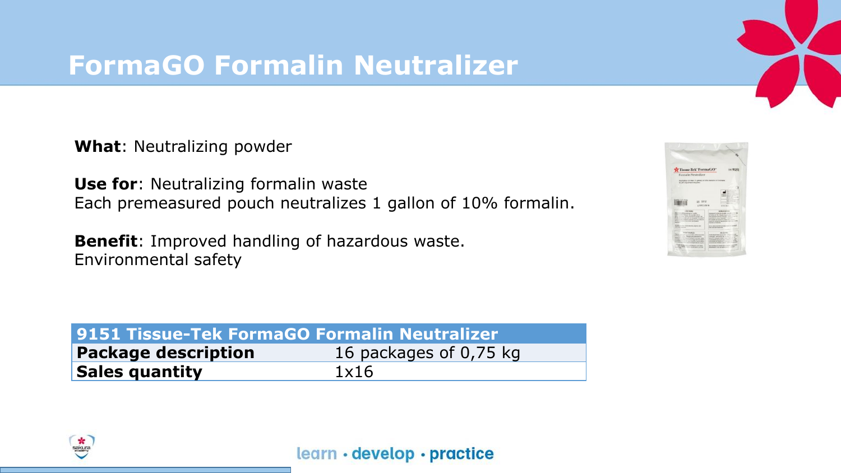## **FormaGO Formalin Neutralizer**

**What**: Neutralizing powder

**Use for**: Neutralizing formalin waste Each premeasured pouch neutralizes 1 gallon of 10% formalin.

**Benefit**: Improved handling of hazardous waste. Environmental safety

| 9151 Tissue-Tek FormaGO Formalin Neutralizer |                        |  |  |
|----------------------------------------------|------------------------|--|--|
| <b>Package description</b>                   | 16 packages of 0,75 kg |  |  |
| <b>Sales quantity</b>                        | 1x16                   |  |  |



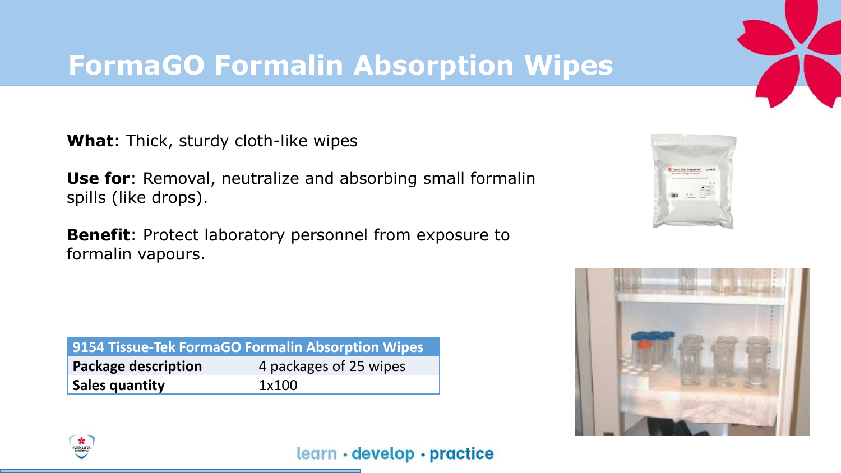## **FormaGO Formalin Absorption Wipes**

**What**: Thick, sturdy cloth-like wipes

**Use for**: Removal, neutralize and absorbing small formalin spills (like drops).

**Benefit**: Protect laboratory personnel from exposure to formalin vapours.

| 9154 Tissue-Tek FormaGO Formalin Absorption Wipes |                        |
|---------------------------------------------------|------------------------|
| <b>Package description</b>                        | 4 packages of 25 wipes |
| Sales quantity                                    | 1×100                  |





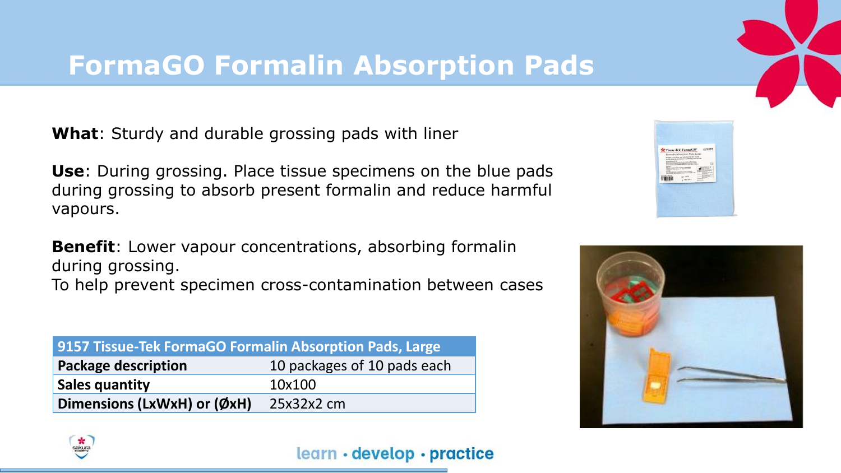## **FormaGO Formalin Absorption Pads**

**What**: Sturdy and durable grossing pads with liner

**Use**: During grossing. Place tissue specimens on the blue pads during grossing to absorb present formalin and reduce harmful vapours.

**Benefit**: Lower vapour concentrations, absorbing formalin during grossing.

To help prevent specimen cross-contamination between cases

| 9157 Tissue-Tek FormaGO Formalin Absorption Pads, Large |                             |  |  |  |
|---------------------------------------------------------|-----------------------------|--|--|--|
| <b>Package description</b>                              | 10 packages of 10 pads each |  |  |  |
| <b>Sales quantity</b>                                   | 10x100                      |  |  |  |
| Dimensions (LxWxH) or (ØxH)                             | $25x32x2$ cm                |  |  |  |





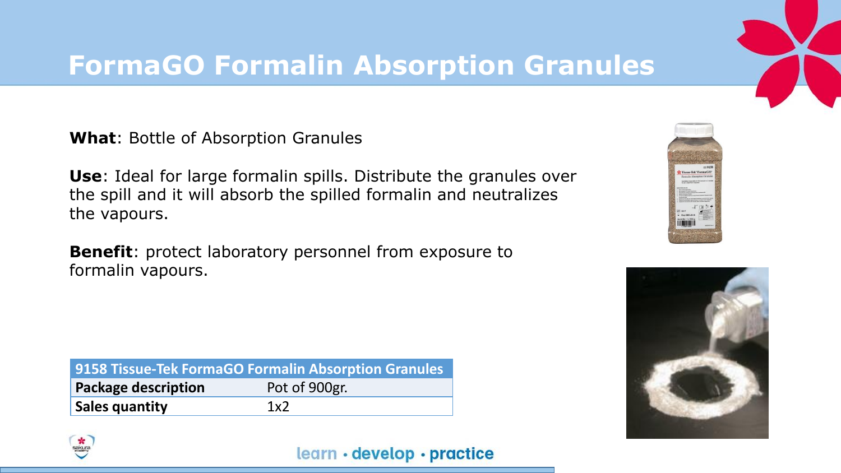#### **FormaGO Formalin Absorption Granules**

**What**: Bottle of Absorption Granules

**Use**: Ideal for large formalin spills. Distribute the granules over the spill and it will absorb the spilled formalin and neutralizes the vapours.

**Benefit**: protect laboratory personnel from exposure to formalin vapours.

| 9158 Tissue-Tek FormaGO Formalin Absorption Granules |               |  |  |
|------------------------------------------------------|---------------|--|--|
| <b>Package description</b>                           | Pot of 900gr. |  |  |
| <b>Sales quantity</b>                                | 1x2           |  |  |





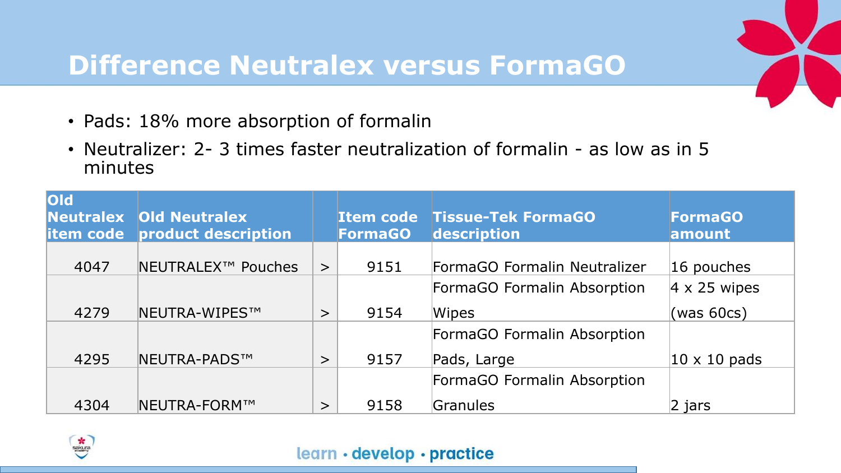## **Difference Neutralex versus FormaGO**

- Pads: 18% more absorption of formalin
- Neutralizer: 2- 3 times faster neutralization of formalin as low as in 5 minutes

| <b>loid</b> | <b>Neutralex Old Neutralex</b><br><b>item code</b> product description |        | <b>FormaGO</b> | <b>Item code Tissue-Tek FormaGO</b><br>description | <b>FormaGO</b><br>amount |
|-------------|------------------------------------------------------------------------|--------|----------------|----------------------------------------------------|--------------------------|
| 4047        | NEUTRALEX <sup>™</sup> Pouches                                         | $\geq$ | 9151           | FormaGO Formalin Neutralizer                       | 16 pouches               |
|             |                                                                        |        |                | FormaGO Formalin Absorption                        | $4 \times 25$ wipes      |
| 4279        | <b>NEUTRA-WIPES™</b>                                                   | $\geq$ | 9154           | Wipes                                              | (was 60cs)               |
|             |                                                                        |        |                | FormaGO Formalin Absorption                        |                          |
| 4295        | <b>NEUTRA-PADS™</b>                                                    | $\geq$ | 9157           | Pads, Large                                        | $10 \times 10$ pads      |
|             |                                                                        |        |                | FormaGO Formalin Absorption                        |                          |
| 4304        | <b>NEUTRA-FORM™</b>                                                    | $\geq$ | 9158           | Granules                                           | $\vert$ 2 jars           |

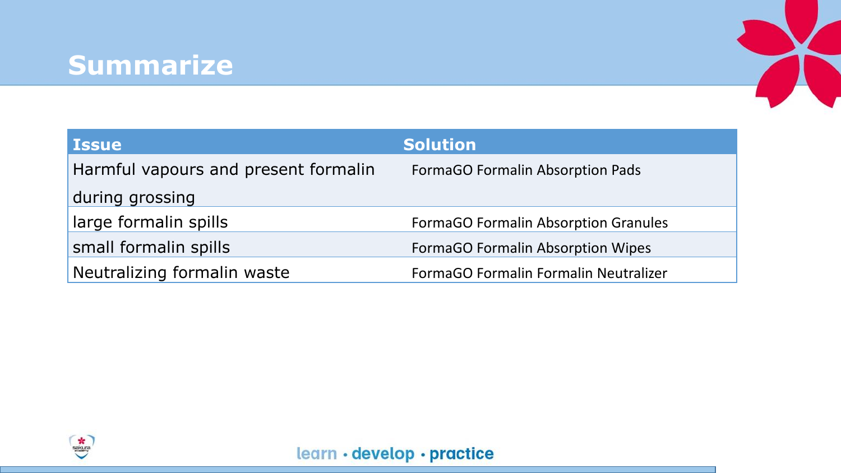#### **Summarize**



| <b>Issue</b>                         | <b>Solution</b>                             |
|--------------------------------------|---------------------------------------------|
| Harmful vapours and present formalin | <b>FormaGO Formalin Absorption Pads</b>     |
| during grossing                      |                                             |
| large formalin spills                | <b>FormaGO Formalin Absorption Granules</b> |
| small formalin spills                | <b>FormaGO Formalin Absorption Wipes</b>    |
| Neutralizing formalin waste          | FormaGO Formalin Formalin Neutralizer       |

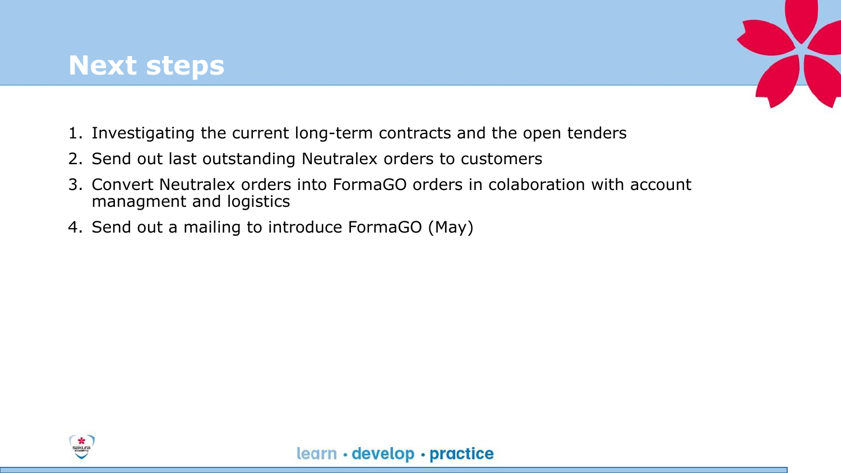

- 1. Investigating the current long-term contracts and the open tenders
- 2. Send out last outstanding Neutralex orders to customers
- 3. Convert Neutralex orders into FormaGO orders in colaboration with account managment and logistics
- 4. Send out a mailing to introduce FormaGO (May)

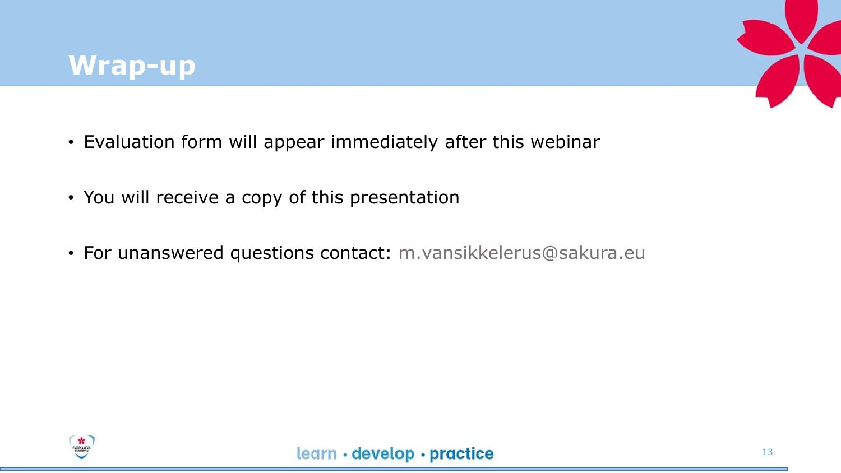

- Evaluation form will appear immediately after this webinar
- You will receive a copy of this presentation
- For unanswered questions contact: m.vansikkelerus@sakura.eu